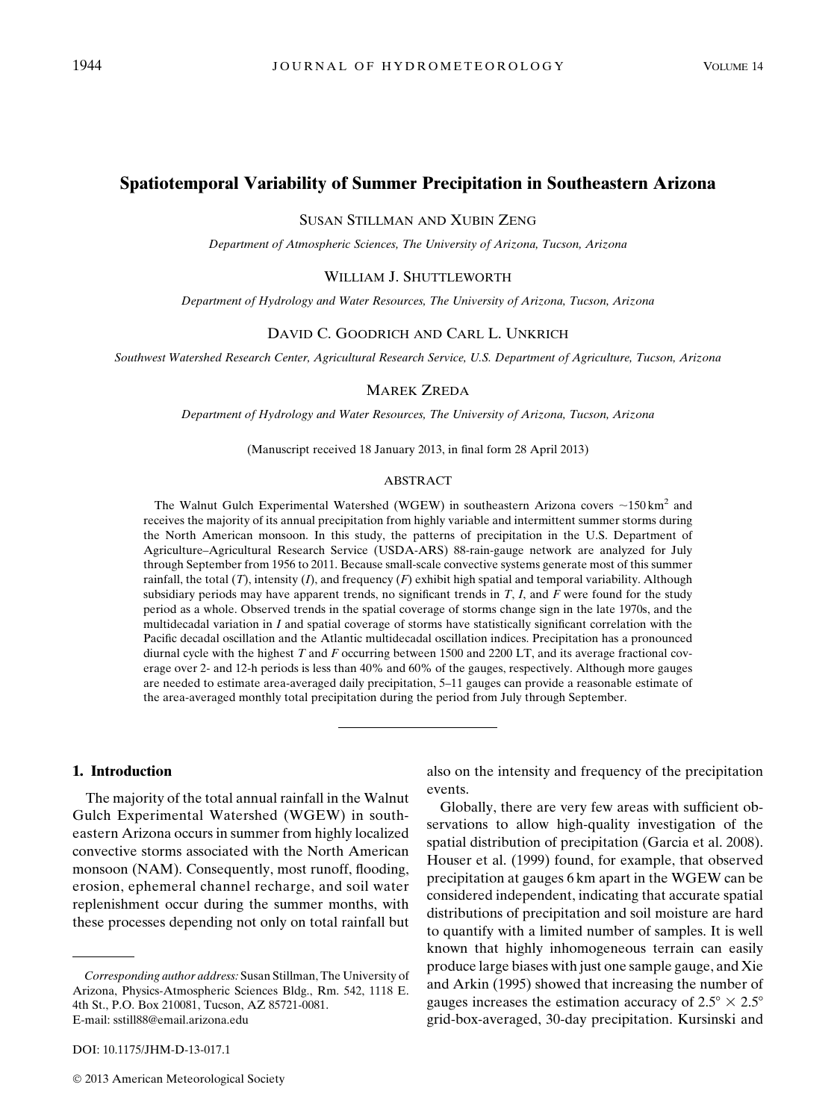# Spatiotemporal Variability of Summer Precipitation in Southeastern Arizona

SUSAN STILLMAN AND XUBIN ZENG

Department of Atmospheric Sciences, The University of Arizona, Tucson, Arizona

#### WILLIAM J. SHUTTLEWORTH

Department of Hydrology and Water Resources, The University of Arizona, Tucson, Arizona

#### DAVID C. GOODRICH AND CARL L. UNKRICH

Southwest Watershed Research Center, Agricultural Research Service, U.S. Department of Agriculture, Tucson, Arizona

## MAREK ZREDA

Department of Hydrology and Water Resources, The University of Arizona, Tucson, Arizona

(Manuscript received 18 January 2013, in final form 28 April 2013)

#### ABSTRACT

The Walnut Gulch Experimental Watershed (WGEW) in southeastern Arizona covers  $\sim$ 150 km<sup>2</sup> and receives the majority of its annual precipitation from highly variable and intermittent summer storms during the North American monsoon. In this study, the patterns of precipitation in the U.S. Department of Agriculture–Agricultural Research Service (USDA-ARS) 88-rain-gauge network are analyzed for July through September from 1956 to 2011. Because small-scale convective systems generate most of this summer rainfall, the total  $(T)$ , intensity  $(I)$ , and frequency  $(F)$  exhibit high spatial and temporal variability. Although subsidiary periods may have apparent trends, no significant trends in  $T$ ,  $I$ , and  $F$  were found for the study period as a whole. Observed trends in the spatial coverage of storms change sign in the late 1970s, and the multidecadal variation in I and spatial coverage of storms have statistically significant correlation with the Pacific decadal oscillation and the Atlantic multidecadal oscillation indices. Precipitation has a pronounced diurnal cycle with the highest  $T$  and  $F$  occurring between 1500 and 2200 LT, and its average fractional coverage over 2- and 12-h periods is less than 40% and 60% of the gauges, respectively. Although more gauges are needed to estimate area-averaged daily precipitation, 5–11 gauges can provide a reasonable estimate of the area-averaged monthly total precipitation during the period from July through September.

### 1. Introduction

The majority of the total annual rainfall in the Walnut Gulch Experimental Watershed (WGEW) in southeastern Arizona occurs in summer from highly localized convective storms associated with the North American monsoon (NAM). Consequently, most runoff, flooding, erosion, ephemeral channel recharge, and soil water replenishment occur during the summer months, with these processes depending not only on total rainfall but

DOI: 10.1175/JHM-D-13-017.1

also on the intensity and frequency of the precipitation events.

Globally, there are very few areas with sufficient observations to allow high-quality investigation of the spatial distribution of precipitation (Garcia et al. 2008). Houser et al. (1999) found, for example, that observed precipitation at gauges 6 km apart in the WGEW can be considered independent, indicating that accurate spatial distributions of precipitation and soil moisture are hard to quantify with a limited number of samples. It is well known that highly inhomogeneous terrain can easily produce large biases with just one sample gauge, and Xie and Arkin (1995) showed that increasing the number of gauges increases the estimation accuracy of  $2.5^{\circ} \times 2.5^{\circ}$ grid-box-averaged, 30-day precipitation. Kursinski and

Corresponding author address: Susan Stillman, The University of Arizona, Physics-Atmospheric Sciences Bldg., Rm. 542, 1118 E. 4th St., P.O. Box 210081, Tucson, AZ 85721-0081. E-mail: [sstill88@email.arizona.edu](mailto:sstill88@email.arizona.edu)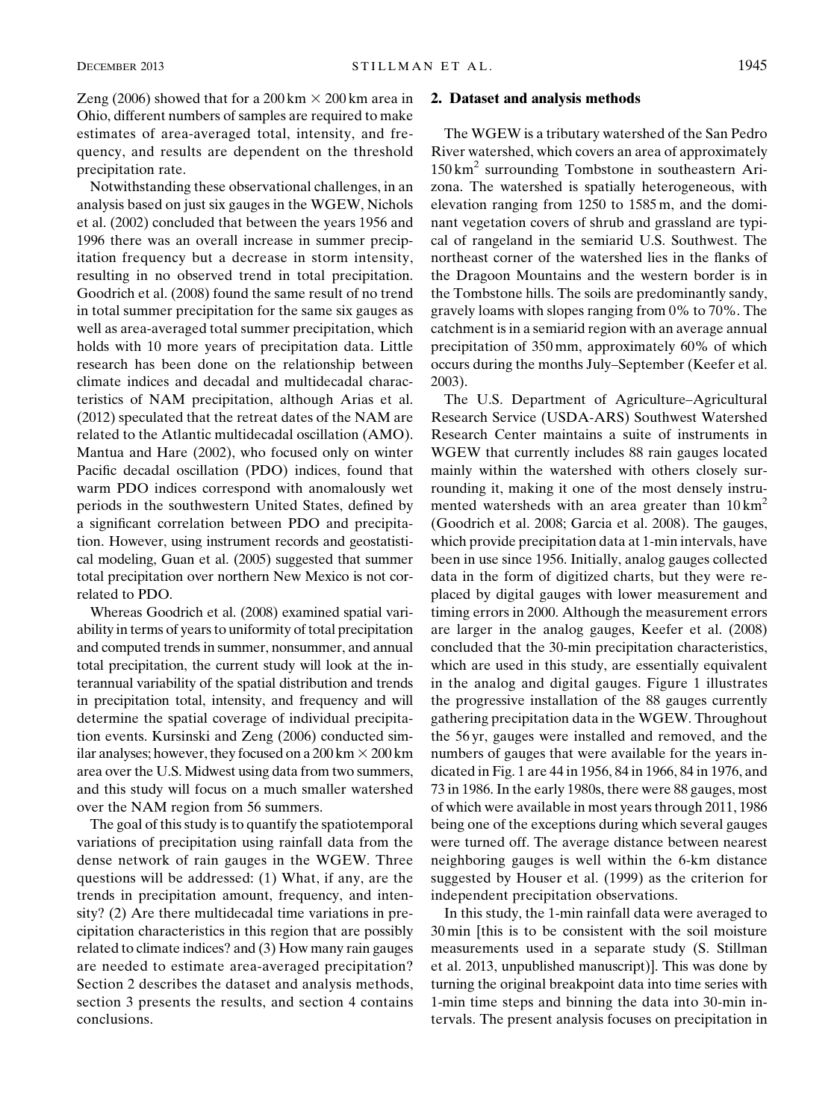Zeng (2006) showed that for a 200 km  $\times$  200 km area in Ohio, different numbers of samples are required to make estimates of area-averaged total, intensity, and frequency, and results are dependent on the threshold precipitation rate.

Notwithstanding these observational challenges, in an analysis based on just six gauges in the WGEW, Nichols et al. (2002) concluded that between the years 1956 and 1996 there was an overall increase in summer precipitation frequency but a decrease in storm intensity, resulting in no observed trend in total precipitation. Goodrich et al. (2008) found the same result of no trend in total summer precipitation for the same six gauges as well as area-averaged total summer precipitation, which holds with 10 more years of precipitation data. Little research has been done on the relationship between climate indices and decadal and multidecadal characteristics of NAM precipitation, although Arias et al. (2012) speculated that the retreat dates of the NAM are related to the Atlantic multidecadal oscillation (AMO). Mantua and Hare (2002), who focused only on winter Pacific decadal oscillation (PDO) indices, found that warm PDO indices correspond with anomalously wet periods in the southwestern United States, defined by a significant correlation between PDO and precipitation. However, using instrument records and geostatistical modeling, Guan et al. (2005) suggested that summer total precipitation over northern New Mexico is not correlated to PDO.

Whereas Goodrich et al. (2008) examined spatial variability in terms of years to uniformity of total precipitation and computed trends in summer, nonsummer, and annual total precipitation, the current study will look at the interannual variability of the spatial distribution and trends in precipitation total, intensity, and frequency and will determine the spatial coverage of individual precipitation events. Kursinski and Zeng (2006) conducted similar analyses; however, they focused on a  $200 \text{ km} \times 200 \text{ km}$ area over the U.S. Midwest using data from two summers, and this study will focus on a much smaller watershed over the NAM region from 56 summers.

The goal of this study is to quantify the spatiotemporal variations of precipitation using rainfall data from the dense network of rain gauges in the WGEW. Three questions will be addressed: (1) What, if any, are the trends in precipitation amount, frequency, and intensity? (2) Are there multidecadal time variations in precipitation characteristics in this region that are possibly related to climate indices? and (3) How many rain gauges are needed to estimate area-averaged precipitation? Section 2 describes the dataset and analysis methods, section 3 presents the results, and section 4 contains conclusions.

#### 2. Dataset and analysis methods

The WGEW is a tributary watershed of the San Pedro River watershed, which covers an area of approximately  $150 \text{ km}^2$  surrounding Tombstone in southeastern Arizona. The watershed is spatially heterogeneous, with elevation ranging from 1250 to 1585 m, and the dominant vegetation covers of shrub and grassland are typical of rangeland in the semiarid U.S. Southwest. The northeast corner of the watershed lies in the flanks of the Dragoon Mountains and the western border is in the Tombstone hills. The soils are predominantly sandy, gravely loams with slopes ranging from 0% to 70%. The catchment is in a semiarid region with an average annual precipitation of 350 mm, approximately 60% of which occurs during the months July–September (Keefer et al. 2003).

The U.S. Department of Agriculture–Agricultural Research Service (USDA-ARS) Southwest Watershed Research Center maintains a suite of instruments in WGEW that currently includes 88 rain gauges located mainly within the watershed with others closely surrounding it, making it one of the most densely instrumented watersheds with an area greater than  $10 \text{ km}^2$ (Goodrich et al. 2008; Garcia et al. 2008). The gauges, which provide precipitation data at 1-min intervals, have been in use since 1956. Initially, analog gauges collected data in the form of digitized charts, but they were replaced by digital gauges with lower measurement and timing errors in 2000. Although the measurement errors are larger in the analog gauges, Keefer et al. (2008) concluded that the 30-min precipitation characteristics, which are used in this study, are essentially equivalent in the analog and digital gauges. Figure 1 illustrates the progressive installation of the 88 gauges currently gathering precipitation data in the WGEW. Throughout the 56 yr, gauges were installed and removed, and the numbers of gauges that were available for the years indicated in Fig. 1 are 44 in 1956, 84 in 1966, 84 in 1976, and 73 in 1986. In the early 1980s, there were 88 gauges, most of which were available in most years through 2011, 1986 being one of the exceptions during which several gauges were turned off. The average distance between nearest neighboring gauges is well within the 6-km distance suggested by Houser et al. (1999) as the criterion for independent precipitation observations.

In this study, the 1-min rainfall data were averaged to 30 min [this is to be consistent with the soil moisture measurements used in a separate study (S. Stillman et al. 2013, unpublished manuscript)]. This was done by turning the original breakpoint data into time series with 1-min time steps and binning the data into 30-min intervals. The present analysis focuses on precipitation in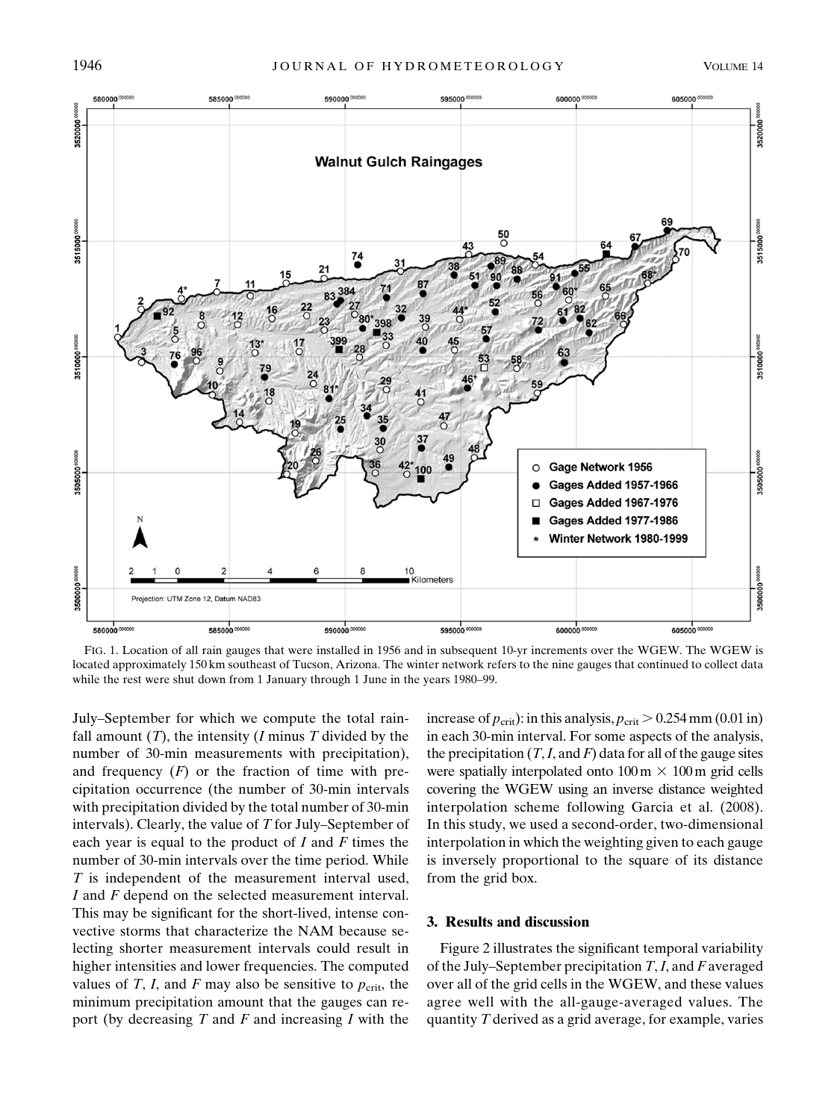

FIG. 1. Location of all rain gauges that were installed in 1956 and in subsequent 10-yr increments over the WGEW. The WGEW is located approximately 150 km southeast of Tucson, Arizona. The winter network refers to the nine gauges that continued to collect data while the rest were shut down from 1 January through 1 June in the years 1980–99.

July–September for which we compute the total rainfall amount  $(T)$ , the intensity  $(I \text{ minus } T \text{ divided by the})$ number of 30-min measurements with precipitation), and frequency  $(F)$  or the fraction of time with precipitation occurrence (the number of 30-min intervals with precipitation divided by the total number of 30-min intervals). Clearly, the value of  $T$  for July–September of each year is equal to the product of  $I$  and  $F$  times the number of 30-min intervals over the time period. While T is independent of the measurement interval used, I and F depend on the selected measurement interval. This may be significant for the short-lived, intense convective storms that characterize the NAM because selecting shorter measurement intervals could result in higher intensities and lower frequencies. The computed values of T, I, and F may also be sensitive to  $p_{\text{crit}}$ , the minimum precipitation amount that the gauges can report (by decreasing  $T$  and  $F$  and increasing  $I$  with the

increase of  $p_{\text{crit}}$ ): in this analysis,  $p_{\text{crit}} > 0.254$  mm (0.01 in) in each 30-min interval. For some aspects of the analysis, the precipitation  $(T, I, \text{and } F)$  data for all of the gauge sites were spatially interpolated onto  $100 \text{ m} \times 100 \text{ m}$  grid cells covering the WGEW using an inverse distance weighted interpolation scheme following Garcia et al. (2008). In this study, we used a second-order, two-dimensional interpolation in which the weighting given to each gauge is inversely proportional to the square of its distance from the grid box.

#### 3. Results and discussion

Figure 2 illustrates the significant temporal variability of the July–September precipitation  $T, I$ , and F averaged over all of the grid cells in the WGEW, and these values agree well with the all-gauge-averaged values. The quantity  $T$  derived as a grid average, for example, varies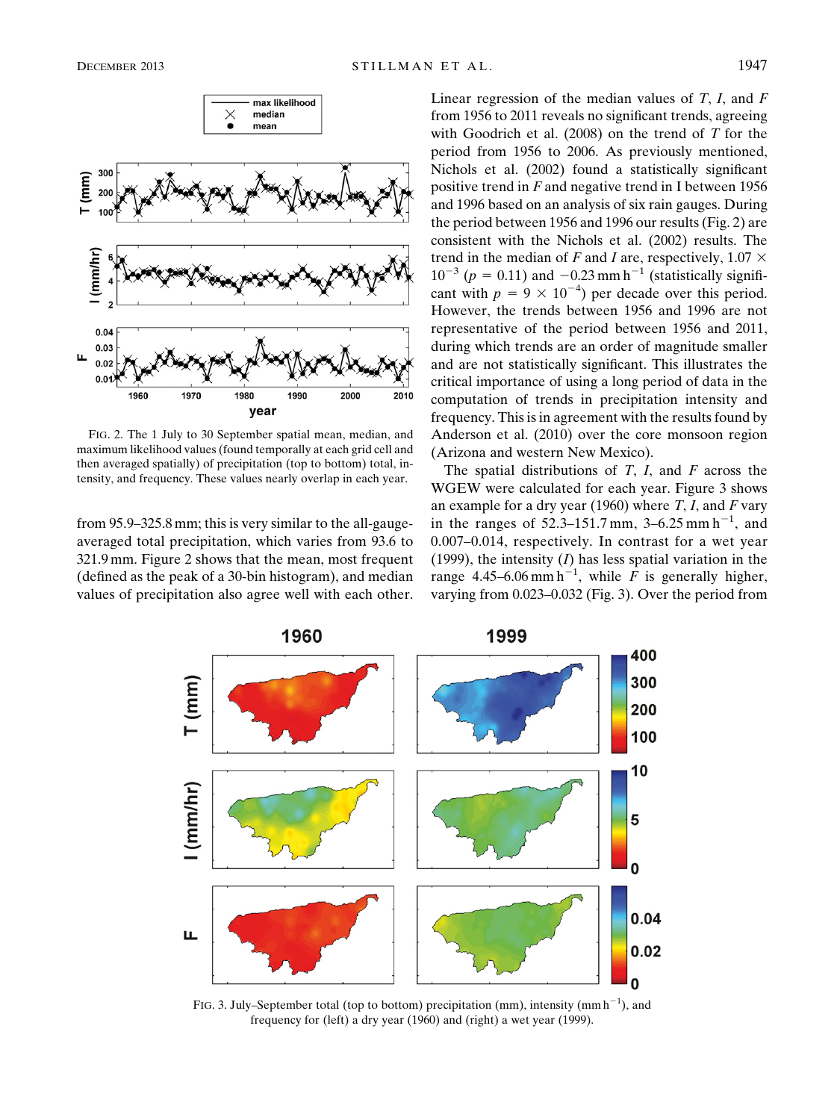

FIG. 2. The 1 July to 30 September spatial mean, median, and maximum likelihood values (found temporally at each grid cell and then averaged spatially) of precipitation (top to bottom) total, intensity, and frequency. These values nearly overlap in each year.

from 95.9–325.8 mm; this is very similar to the all-gaugeaveraged total precipitation, which varies from 93.6 to 321.9 mm. Figure 2 shows that the mean, most frequent (defined as the peak of a 30-bin histogram), and median values of precipitation also agree well with each other. Linear regression of the median values of  $T$ ,  $I$ , and  $F$ from 1956 to 2011 reveals no significant trends, agreeing with Goodrich et al.  $(2008)$  on the trend of T for the period from 1956 to 2006. As previously mentioned, Nichols et al. (2002) found a statistically significant positive trend in  $F$  and negative trend in I between 1956 and 1996 based on an analysis of six rain gauges. During the period between 1956 and 1996 our results (Fig. 2) are consistent with the Nichols et al. (2002) results. The trend in the median of F and I are, respectively,  $1.07 \times$  $10^{-3}$  ( $p = 0.11$ ) and  $-0.23$  mm h<sup>-1</sup> (statistically significant with  $p = 9 \times 10^{-4}$ ) per decade over this period. However, the trends between 1956 and 1996 are not representative of the period between 1956 and 2011, during which trends are an order of magnitude smaller and are not statistically significant. This illustrates the critical importance of using a long period of data in the computation of trends in precipitation intensity and frequency. This is in agreement with the results found by Anderson et al. (2010) over the core monsoon region (Arizona and western New Mexico).

The spatial distributions of  $T$ ,  $I$ , and  $F$  across the WGEW were calculated for each year. Figure 3 shows an example for a dry year (1960) where  $T$ ,  $I$ , and  $F$  vary in the ranges of  $52.3 - 151.7$  mm,  $3 - 6.25$  mm h<sup>-1</sup>, and 0.007–0.014, respectively. In contrast for a wet year (1999), the intensity  $(I)$  has less spatial variation in the range 4.45–6.06 mm h<sup>-1</sup>, while F is generally higher, varying from 0.023–0.032 (Fig. 3). Over the period from



FIG. 3. July–September total (top to bottom) precipitation (mm), intensity (mm  $h^{-1}$ ), and frequency for (left) a dry year (1960) and (right) a wet year (1999).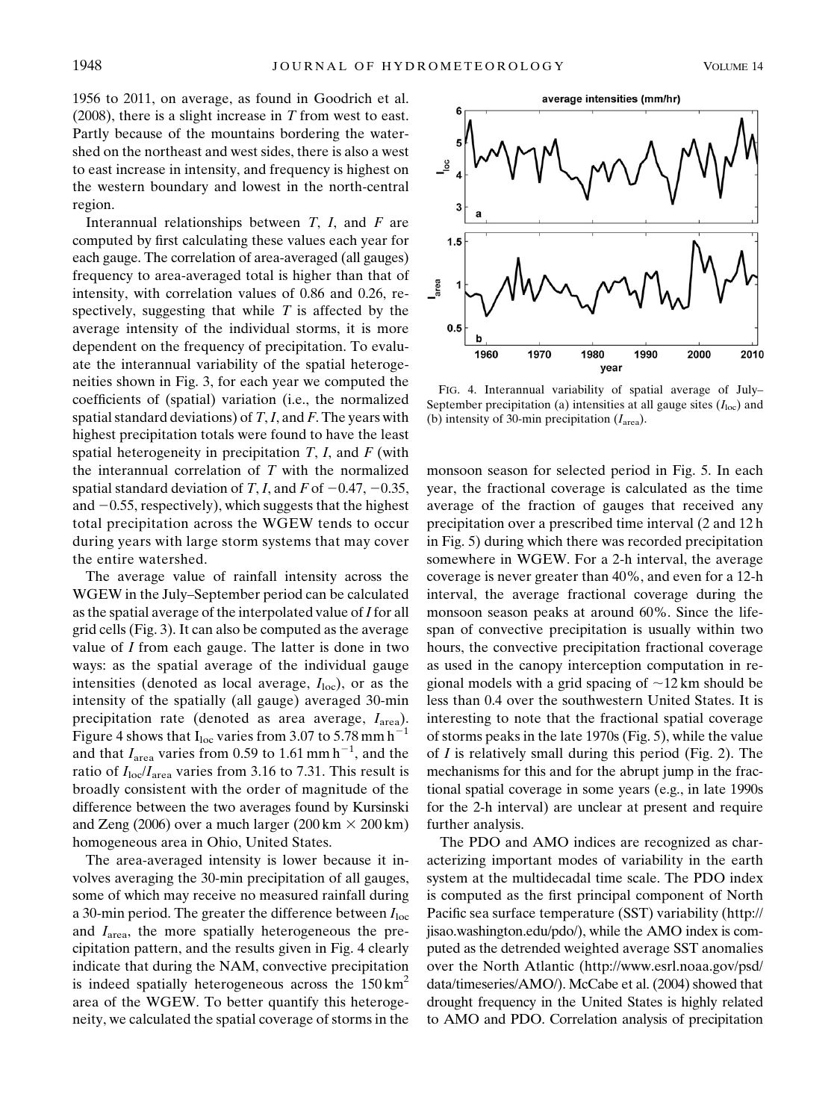1956 to 2011, on average, as found in Goodrich et al.  $(2008)$ , there is a slight increase in T from west to east. Partly because of the mountains bordering the watershed on the northeast and west sides, there is also a west to east increase in intensity, and frequency is highest on the western boundary and lowest in the north-central region.

Interannual relationships between  $T$ ,  $I$ , and  $F$  are computed by first calculating these values each year for each gauge. The correlation of area-averaged (all gauges) frequency to area-averaged total is higher than that of intensity, with correlation values of 0.86 and 0.26, respectively, suggesting that while  $T$  is affected by the average intensity of the individual storms, it is more dependent on the frequency of precipitation. To evaluate the interannual variability of the spatial heterogeneities shown in Fig. 3, for each year we computed the coefficients of (spatial) variation (i.e., the normalized spatial standard deviations) of  $T, I$ , and  $F$ . The years with highest precipitation totals were found to have the least spatial heterogeneity in precipitation  $T$ ,  $I$ , and  $F$  (with the interannual correlation of  $T$  with the normalized spatial standard deviation of T, I, and F of  $-0.47, -0.35$ , and  $-0.55$ , respectively), which suggests that the highest total precipitation across the WGEW tends to occur during years with large storm systems that may cover the entire watershed.

The average value of rainfall intensity across the WGEW in the July–September period can be calculated as the spatial average of the interpolated value of  $I$  for all grid cells (Fig. 3). It can also be computed as the average value of I from each gauge. The latter is done in two ways: as the spatial average of the individual gauge intensities (denoted as local average,  $I_{loc}$ ), or as the intensity of the spatially (all gauge) averaged 30-min precipitation rate (denoted as area average,  $I_{\text{area}}$ ). Figure 4 shows that  $I_{loc}$  varies from 3.07 to 5.78 mm h<sup>-1</sup> and that  $I_{\text{area}}$  varies from 0.59 to 1.61 mm h<sup>-1</sup>, and the ratio of  $I_{\text{loc}}/I_{\text{area}}$  varies from 3.16 to 7.31. This result is broadly consistent with the order of magnitude of the difference between the two averages found by Kursinski and Zeng (2006) over a much larger (200 km  $\times$  200 km) homogeneous area in Ohio, United States.

The area-averaged intensity is lower because it involves averaging the 30-min precipitation of all gauges, some of which may receive no measured rainfall during a 30-min period. The greater the difference between  $I_{loc}$ and  $I<sub>area</sub>$ , the more spatially heterogeneous the precipitation pattern, and the results given in Fig. 4 clearly indicate that during the NAM, convective precipitation is indeed spatially heterogeneous across the  $150 \text{ km}^2$ area of the WGEW. To better quantify this heterogeneity, we calculated the spatial coverage of storms in the



FIG. 4. Interannual variability of spatial average of July– September precipitation (a) intensities at all gauge sites  $(I<sub>loc</sub>)$  and (b) intensity of 30-min precipitation  $(I<sub>area</sub>)$ .

monsoon season for selected period in Fig. 5. In each year, the fractional coverage is calculated as the time average of the fraction of gauges that received any precipitation over a prescribed time interval (2 and 12 h in Fig. 5) during which there was recorded precipitation somewhere in WGEW. For a 2-h interval, the average coverage is never greater than 40%, and even for a 12-h interval, the average fractional coverage during the monsoon season peaks at around 60%. Since the lifespan of convective precipitation is usually within two hours, the convective precipitation fractional coverage as used in the canopy interception computation in regional models with a grid spacing of  $\sim$ 12 km should be less than 0.4 over the southwestern United States. It is interesting to note that the fractional spatial coverage of storms peaks in the late 1970s (Fig. 5), while the value of  $I$  is relatively small during this period (Fig. 2). The mechanisms for this and for the abrupt jump in the fractional spatial coverage in some years (e.g., in late 1990s for the 2-h interval) are unclear at present and require further analysis.

The PDO and AMO indices are recognized as characterizing important modes of variability in the earth system at the multidecadal time scale. The PDO index is computed as the first principal component of North Pacific sea surface temperature (SST) variability ([http://](http://jisao.washington.edu/pdo/) [jisao.washington.edu/pdo/\)](http://jisao.washington.edu/pdo/), while the AMO index is computed as the detrended weighted average SST anomalies over the North Atlantic ([http://www.esrl.noaa.gov/psd/](http://www.esrl.noaa.gov/psd/data/timeseries/AMO/) [data/timeseries/AMO/](http://www.esrl.noaa.gov/psd/data/timeseries/AMO/)). McCabe et al. (2004) showed that drought frequency in the United States is highly related to AMO and PDO. Correlation analysis of precipitation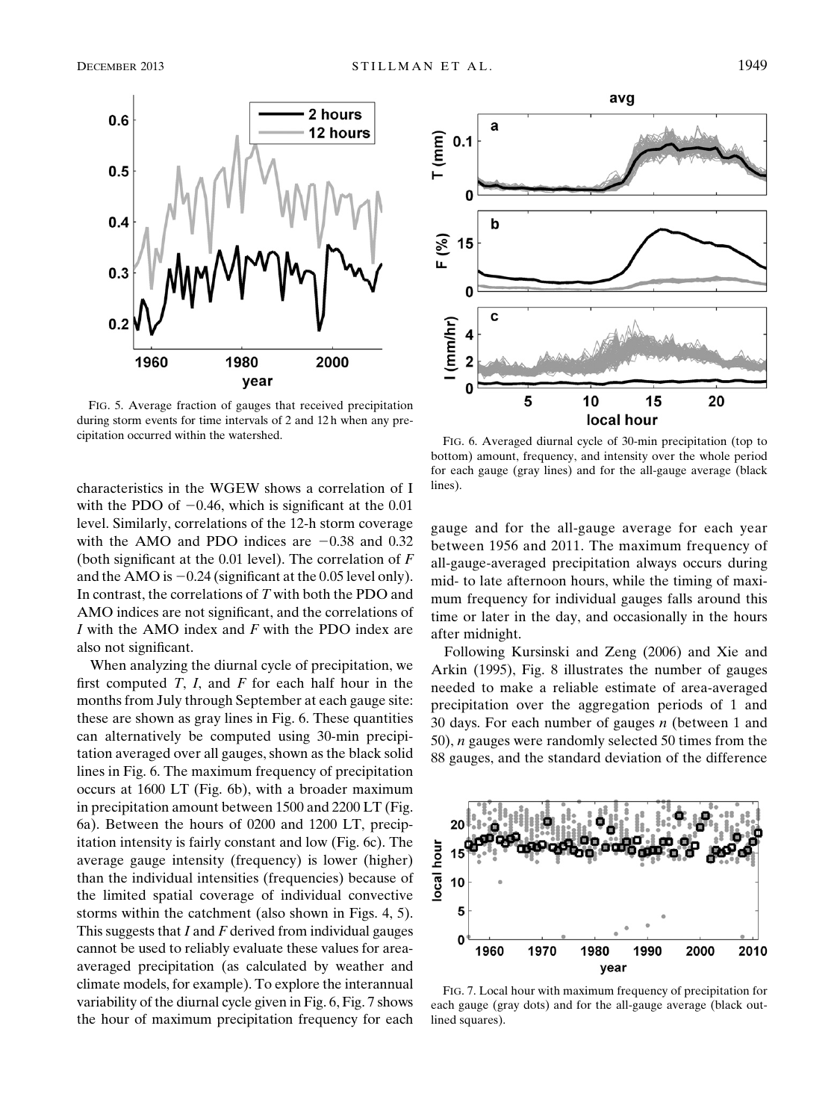

FIG. 5. Average fraction of gauges that received precipitation during storm events for time intervals of 2 and 12 h when any precipitation occurred within the watershed. FIG. 6. Averaged diurnal cycle of 30-min precipitation (top to

characteristics in the WGEW shows a correlation of I with the PDO of  $-0.46$ , which is significant at the 0.01 level. Similarly, correlations of the 12-h storm coverage with the AMO and PDO indices are  $-0.38$  and 0.32 (both significant at the 0.01 level). The correlation of  $F$ and the AMO is  $-0.24$  (significant at the 0.05 level only). In contrast, the correlations of T with both the PDO and AMO indices are not significant, and the correlations of  $I$  with the AMO index and  $F$  with the PDO index are also not significant.

When analyzing the diurnal cycle of precipitation, we first computed  $T$ ,  $I$ , and  $F$  for each half hour in the months from July through September at each gauge site: these are shown as gray lines in Fig. 6. These quantities can alternatively be computed using 30-min precipitation averaged over all gauges, shown as the black solid lines in Fig. 6. The maximum frequency of precipitation occurs at 1600 LT (Fig. 6b), with a broader maximum in precipitation amount between 1500 and 2200 LT (Fig. 6a). Between the hours of 0200 and 1200 LT, precipitation intensity is fairly constant and low (Fig. 6c). The average gauge intensity (frequency) is lower (higher) than the individual intensities (frequencies) because of the limited spatial coverage of individual convective storms within the catchment (also shown in Figs. 4, 5). This suggests that  $I$  and  $F$  derived from individual gauges cannot be used to reliably evaluate these values for areaaveraged precipitation (as calculated by weather and climate models, for example). To explore the interannual variability of the diurnal cycle given in Fig. 6, Fig. 7 shows the hour of maximum precipitation frequency for each



bottom) amount, frequency, and intensity over the whole period for each gauge (gray lines) and for the all-gauge average (black lines).

gauge and for the all-gauge average for each year between 1956 and 2011. The maximum frequency of all-gauge-averaged precipitation always occurs during mid- to late afternoon hours, while the timing of maximum frequency for individual gauges falls around this time or later in the day, and occasionally in the hours after midnight.

Following Kursinski and Zeng (2006) and Xie and Arkin (1995), Fig. 8 illustrates the number of gauges needed to make a reliable estimate of area-averaged precipitation over the aggregation periods of 1 and 30 days. For each number of gauges  $n$  (between 1 and 50), n gauges were randomly selected 50 times from the 88 gauges, and the standard deviation of the difference



FIG. 7. Local hour with maximum frequency of precipitation for each gauge (gray dots) and for the all-gauge average (black outlined squares).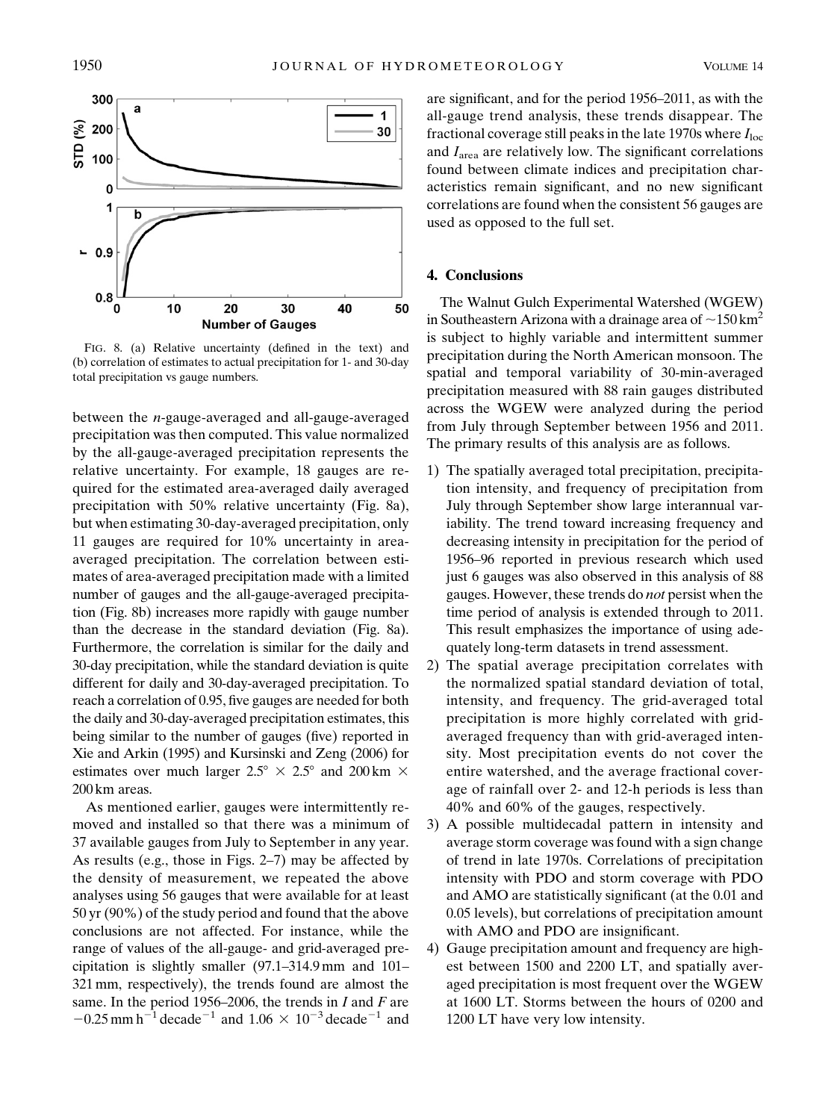

FIG. 8. (a) Relative uncertainty (defined in the text) and (b) correlation of estimates to actual precipitation for 1- and 30-day total precipitation vs gauge numbers.

between the n-gauge-averaged and all-gauge-averaged precipitation was then computed. This value normalized by the all-gauge-averaged precipitation represents the relative uncertainty. For example, 18 gauges are required for the estimated area-averaged daily averaged precipitation with 50% relative uncertainty (Fig. 8a), but when estimating 30-day-averaged precipitation, only 11 gauges are required for 10% uncertainty in areaaveraged precipitation. The correlation between estimates of area-averaged precipitation made with a limited number of gauges and the all-gauge-averaged precipitation (Fig. 8b) increases more rapidly with gauge number than the decrease in the standard deviation (Fig. 8a). Furthermore, the correlation is similar for the daily and 30-day precipitation, while the standard deviation is quite different for daily and 30-day-averaged precipitation. To reach a correlation of 0.95, five gauges are needed for both the daily and 30-day-averaged precipitation estimates, this being similar to the number of gauges (five) reported in Xie and Arkin (1995) and Kursinski and Zeng (2006) for estimates over much larger  $2.5^{\circ} \times 2.5^{\circ}$  and  $200 \text{ km } \times$ 200 km areas.

As mentioned earlier, gauges were intermittently removed and installed so that there was a minimum of 37 available gauges from July to September in any year. As results (e.g., those in Figs. 2–7) may be affected by the density of measurement, we repeated the above analyses using 56 gauges that were available for at least 50 yr (90%) of the study period and found that the above conclusions are not affected. For instance, while the range of values of the all-gauge- and grid-averaged precipitation is slightly smaller (97.1–314.9 mm and 101– 321 mm, respectively), the trends found are almost the same. In the period 1956–2006, the trends in  $I$  and  $F$  are  $-0.25$  mm h<sup>-1</sup> decade<sup>-1</sup> and 1.06  $\times$  10<sup>-3</sup> decade<sup>-1</sup> and

are significant, and for the period 1956–2011, as with the all-gauge trend analysis, these trends disappear. The fractional coverage still peaks in the late 1970s where  $I_{loc}$ and  $I<sub>area</sub>$  are relatively low. The significant correlations found between climate indices and precipitation characteristics remain significant, and no new significant correlations are found when the consistent 56 gauges are used as opposed to the full set.

# 4. Conclusions

The Walnut Gulch Experimental Watershed (WGEW) in Southeastern Arizona with a drainage area of  $\sim$ 150 km<sup>2</sup> is subject to highly variable and intermittent summer precipitation during the North American monsoon. The spatial and temporal variability of 30-min-averaged precipitation measured with 88 rain gauges distributed across the WGEW were analyzed during the period from July through September between 1956 and 2011. The primary results of this analysis are as follows.

- 1) The spatially averaged total precipitation, precipitation intensity, and frequency of precipitation from July through September show large interannual variability. The trend toward increasing frequency and decreasing intensity in precipitation for the period of 1956–96 reported in previous research which used just 6 gauges was also observed in this analysis of 88 gauges. However, these trends do not persist when the time period of analysis is extended through to 2011. This result emphasizes the importance of using adequately long-term datasets in trend assessment.
- 2) The spatial average precipitation correlates with the normalized spatial standard deviation of total, intensity, and frequency. The grid-averaged total precipitation is more highly correlated with gridaveraged frequency than with grid-averaged intensity. Most precipitation events do not cover the entire watershed, and the average fractional coverage of rainfall over 2- and 12-h periods is less than 40% and 60% of the gauges, respectively.
- 3) A possible multidecadal pattern in intensity and average storm coverage was found with a sign change of trend in late 1970s. Correlations of precipitation intensity with PDO and storm coverage with PDO and AMO are statistically significant (at the 0.01 and 0.05 levels), but correlations of precipitation amount with AMO and PDO are insignificant.
- 4) Gauge precipitation amount and frequency are highest between 1500 and 2200 LT, and spatially averaged precipitation is most frequent over the WGEW at 1600 LT. Storms between the hours of 0200 and 1200 LT have very low intensity.